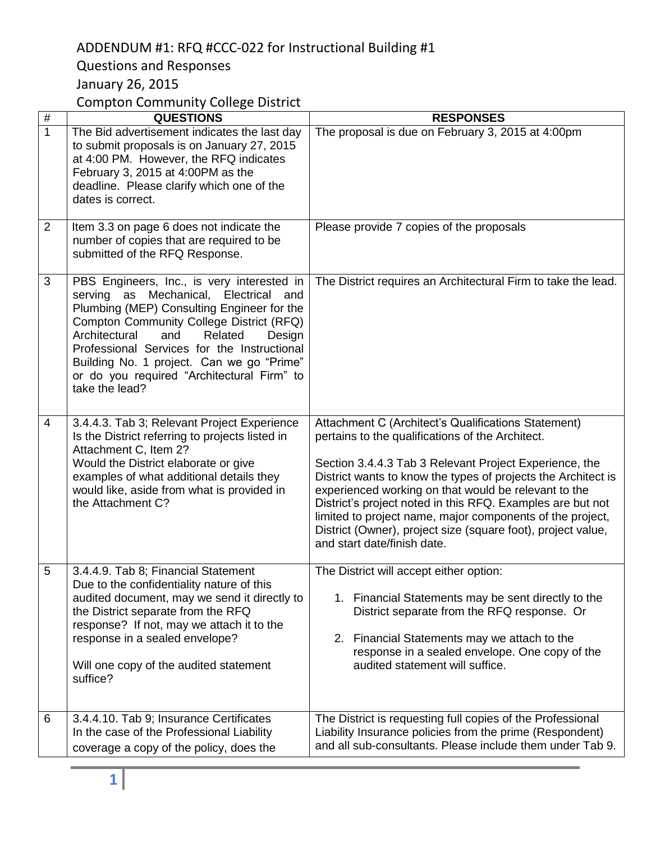# ADDENDUM #1: RFQ #CCC-022 for Instructional Building #1

# Questions and Responses

January 26, 2015

Compton Community College District

| $\#$           | <b>QUESTIONS</b>                                                                                                                                                                                                                                                                                                                                                                       | <b>RESPONSES</b>                                                                                                                                                                                                                                                                                                                                                                                                                                                                                                     |
|----------------|----------------------------------------------------------------------------------------------------------------------------------------------------------------------------------------------------------------------------------------------------------------------------------------------------------------------------------------------------------------------------------------|----------------------------------------------------------------------------------------------------------------------------------------------------------------------------------------------------------------------------------------------------------------------------------------------------------------------------------------------------------------------------------------------------------------------------------------------------------------------------------------------------------------------|
| $\mathbf{1}$   | The Bid advertisement indicates the last day<br>to submit proposals is on January 27, 2015<br>at 4:00 PM. However, the RFQ indicates<br>February 3, 2015 at 4:00PM as the<br>deadline. Please clarify which one of the<br>dates is correct.                                                                                                                                            | The proposal is due on February 3, 2015 at 4:00pm                                                                                                                                                                                                                                                                                                                                                                                                                                                                    |
| $\overline{2}$ | Item 3.3 on page 6 does not indicate the<br>number of copies that are required to be<br>submitted of the RFQ Response.                                                                                                                                                                                                                                                                 | Please provide 7 copies of the proposals                                                                                                                                                                                                                                                                                                                                                                                                                                                                             |
| 3              | PBS Engineers, Inc., is very interested in<br>serving as Mechanical, Electrical and<br>Plumbing (MEP) Consulting Engineer for the<br>Compton Community College District (RFQ)<br>Architectural<br>and<br>Related<br>Design<br>Professional Services for the Instructional<br>Building No. 1 project. Can we go "Prime"<br>or do you required "Architectural Firm" to<br>take the lead? | The District requires an Architectural Firm to take the lead.                                                                                                                                                                                                                                                                                                                                                                                                                                                        |
| 4              | 3.4.4.3. Tab 3; Relevant Project Experience<br>Is the District referring to projects listed in<br>Attachment C, Item 2?<br>Would the District elaborate or give<br>examples of what additional details they<br>would like, aside from what is provided in<br>the Attachment C?                                                                                                         | Attachment C (Architect's Qualifications Statement)<br>pertains to the qualifications of the Architect.<br>Section 3.4.4.3 Tab 3 Relevant Project Experience, the<br>District wants to know the types of projects the Architect is<br>experienced working on that would be relevant to the<br>District's project noted in this RFQ. Examples are but not<br>limited to project name, major components of the project,<br>District (Owner), project size (square foot), project value,<br>and start date/finish date. |
| 5              | 3.4.4.9. Tab 8; Financial Statement<br>Due to the confidentiality nature of this<br>audited document, may we send it directly to<br>the District separate from the RFQ<br>response? If not, may we attach it to the<br>response in a sealed envelope?<br>Will one copy of the audited statement<br>suffice?                                                                            | The District will accept either option:<br>1. Financial Statements may be sent directly to the<br>District separate from the RFQ response. Or<br>2. Financial Statements may we attach to the<br>response in a sealed envelope. One copy of the<br>audited statement will suffice.                                                                                                                                                                                                                                   |
| 6              | 3.4.4.10. Tab 9; Insurance Certificates<br>In the case of the Professional Liability<br>coverage a copy of the policy, does the                                                                                                                                                                                                                                                        | The District is requesting full copies of the Professional<br>Liability Insurance policies from the prime (Respondent)<br>and all sub-consultants. Please include them under Tab 9.                                                                                                                                                                                                                                                                                                                                  |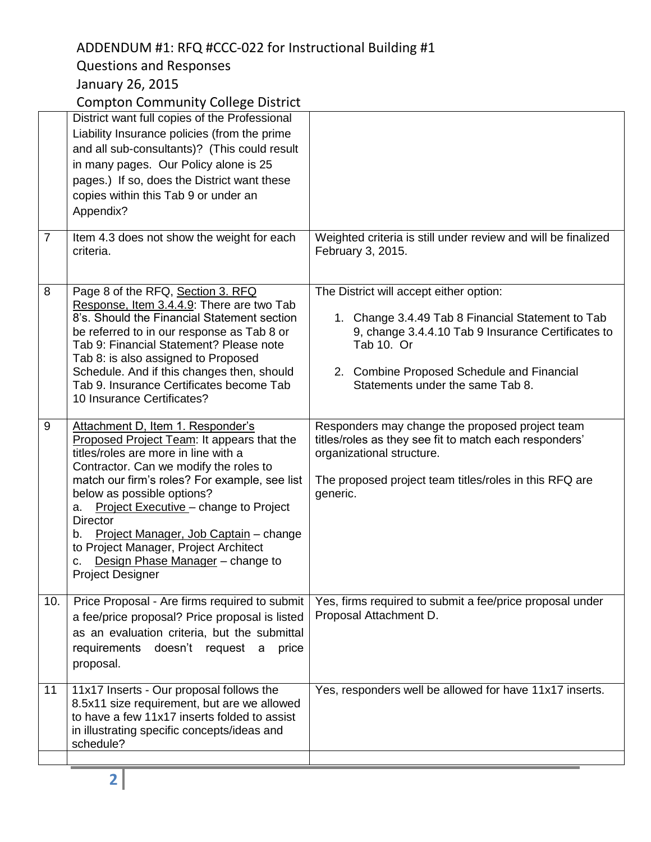# ADDENDUM #1: RFQ #CCC-022 for Instructional Building #1

# Questions and Responses

### January 26, 2015

Compton Community College District

| $\overline{7}$ | District want full copies of the Professional<br>Liability Insurance policies (from the prime<br>and all sub-consultants)? (This could result<br>in many pages. Our Policy alone is 25<br>pages.) If so, does the District want these<br>copies within this Tab 9 or under an<br>Appendix?<br>Item 4.3 does not show the weight for each<br>criteria.                                                                                                                           | Weighted criteria is still under review and will be finalized<br>February 3, 2015.                                                                                                                                                                 |
|----------------|---------------------------------------------------------------------------------------------------------------------------------------------------------------------------------------------------------------------------------------------------------------------------------------------------------------------------------------------------------------------------------------------------------------------------------------------------------------------------------|----------------------------------------------------------------------------------------------------------------------------------------------------------------------------------------------------------------------------------------------------|
| 8              | Page 8 of the RFQ, Section 3. RFQ<br>Response, Item 3.4.4.9: There are two Tab<br>8's. Should the Financial Statement section<br>be referred to in our response as Tab 8 or<br>Tab 9: Financial Statement? Please note<br>Tab 8: is also assigned to Proposed<br>Schedule. And if this changes then, should<br>Tab 9. Insurance Certificates become Tab<br>10 Insurance Certificates?                                                                                           | The District will accept either option:<br>1. Change 3.4.49 Tab 8 Financial Statement to Tab<br>9, change 3.4.4.10 Tab 9 Insurance Certificates to<br>Tab 10. Or<br>2. Combine Proposed Schedule and Financial<br>Statements under the same Tab 8. |
| 9              | Attachment D, Item 1. Responder's<br>Proposed Project Team: It appears that the<br>titles/roles are more in line with a<br>Contractor. Can we modify the roles to<br>match our firm's roles? For example, see list<br>below as possible options?<br>Project Executive - change to Project<br>а.<br><b>Director</b><br>Project Manager, Job Captain - change<br>b.<br>to Project Manager, Project Architect<br>Design Phase Manager - change to<br>c.<br><b>Project Designer</b> | Responders may change the proposed project team<br>titles/roles as they see fit to match each responders'<br>organizational structure.<br>The proposed project team titles/roles in this RFQ are<br>generic.                                       |
| 10.            | Price Proposal - Are firms required to submit<br>a fee/price proposal? Price proposal is listed<br>as an evaluation criteria, but the submittal<br>doesn't request a<br>requirements<br>price<br>proposal.                                                                                                                                                                                                                                                                      | Yes, firms required to submit a fee/price proposal under<br>Proposal Attachment D.                                                                                                                                                                 |
| 11             | 11x17 Inserts - Our proposal follows the<br>8.5x11 size requirement, but are we allowed<br>to have a few 11x17 inserts folded to assist<br>in illustrating specific concepts/ideas and<br>schedule?                                                                                                                                                                                                                                                                             | Yes, responders well be allowed for have 11x17 inserts.                                                                                                                                                                                            |